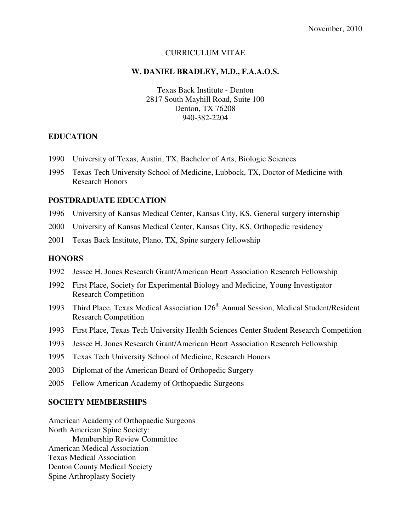#### CURRICULUM VITAE

#### **W. DANIEL BRADLEY, M.D., F.A.A.O.S.**

Texas Back Institute - Denton 2817 South Mayhill Road, Suite 100 Denton, TX 76208 940-382-2204

### **EDUCATION**

- 1990 University of Texas, Austin, TX, Bachelor of Arts, Biologic Sciences
- 1995 Texas Tech University School of Medicine, Lubbock, TX, Doctor of Medicine with Research Honors

### **POSTDRADUATE EDUCATION**

- 1996 University of Kansas Medical Center, Kansas City, KS, General surgery internship
- 2000 University of Kansas Medical Center, Kansas City, KS, Orthopedic residency
- 2001 Texas Back Institute, Plano, TX, Spine surgery fellowship

#### **HONORS**

- 1992 Jessee H. Jones Research Grant/American Heart Association Research Fellowship
- 1992 First Place, Society for Experimental Biology and Medicine, Young Investigator Research Competition
- 1993 Third Place, Texas Medical Association 126<sup>th</sup> Annual Session, Medical Student/Resident Research Competition
- 1993 First Place, Texas Tech University Health Sciences Center Student Research Competition
- 1993 Jessee H. Jones Research Grant/American Heart Association Research Fellowship
- 1995 Texas Tech University School of Medicine, Research Honors
- 2003 Diplomat of the American Board of Orthopedic Surgery
- 2005 Fellow American Academy of Orthopaedic Surgeons

#### **SOCIETY MEMBERSHIPS**

American Academy of Orthopaedic Surgeons North American Spine Society: Membership Review Committee American Medical Association Texas Medical Association Denton County Medical Society Spine Arthroplasty Society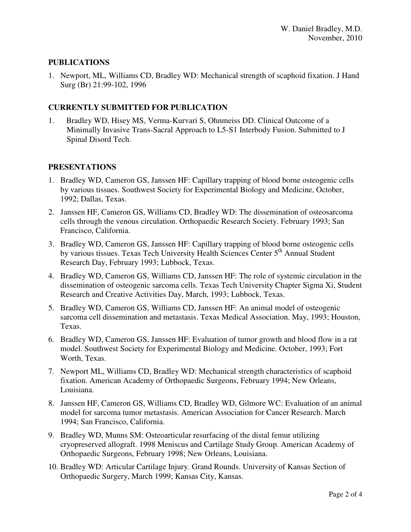### **PUBLICATIONS**

1. Newport, ML, Williams CD, Bradley WD: Mechanical strength of scaphoid fixation. J Hand Surg (Br) 21:99-102, 1996

# **CURRENTLY SUBMITTED FOR PUBLICATION**

1. Bradley WD, Hisey MS, Verma-Kurvari S, Ohnmeiss DD. Clinical Outcome of a Minimally Invasive Trans-Sacral Approach to L5-S1 Interbody Fusion. Submitted to J Spinal Disord Tech.

# **PRESENTATIONS**

- 1. Bradley WD, Cameron GS, Janssen HF: Capillary trapping of blood borne osteogenic cells by various tissues. Southwest Society for Experimental Biology and Medicine, October, 1992; Dallas, Texas.
- 2. Janssen HF, Cameron GS, Williams CD, Bradley WD: The dissemination of osteosarcoma cells through the venous circulation. Orthopaedic Research Society. February 1993; San Francisco, California.
- 3. Bradley WD, Cameron GS, Janssen HF: Capillary trapping of blood borne osteogenic cells by various tissues. Texas Tech University Health Sciences Center 5<sup>th</sup> Annual Student Research Day, February 1993; Lubbock, Texas.
- 4. Bradley WD, Cameron GS, Williams CD, Janssen HF: The role of systemic circulation in the dissemination of osteogenic sarcoma cells. Texas Tech University Chapter Sigma Xi, Student Research and Creative Activities Day, March, 1993; Lubbock, Texas.
- 5. Bradley WD, Cameron GS, Williams CD, Janssen HF: An animal model of osteogenic sarcoma cell dissemination and metastasis. Texas Medical Association. May, 1993; Houston, Texas.
- 6. Bradley WD, Cameron GS, Janssen HF: Evaluation of tumor growth and blood flow in a rat model. Southwest Society for Experimental Biology and Medicine. October, 1993; Fort Worth, Texas.
- 7. Newport ML, Williams CD, Bradley WD: Mechanical strength characteristics of scaphoid fixation. American Academy of Orthopaedic Surgeons, February 1994; New Orleans, Louisiana.
- 8. Janssen HF, Cameron GS, Williams CD, Bradley WD, Gilmore WC: Evaluation of an animal model for sarcoma tumor metastasis. American Association for Cancer Research. March 1994; San Francisco, California.
- 9. Bradley WD, Munns SM: Osteoarticular resurfacing of the distal femur utilizing cryopreserved allograft. 1998 Meniscus and Cartilage Study Group. American Academy of Orthopaedic Surgeons, February 1998; New Orleans, Louisiana.
- 10. Bradley WD: Articular Cartilage Injury. Grand Rounds. University of Kansas Section of Orthopaedic Surgery, March 1999; Kansas City, Kansas.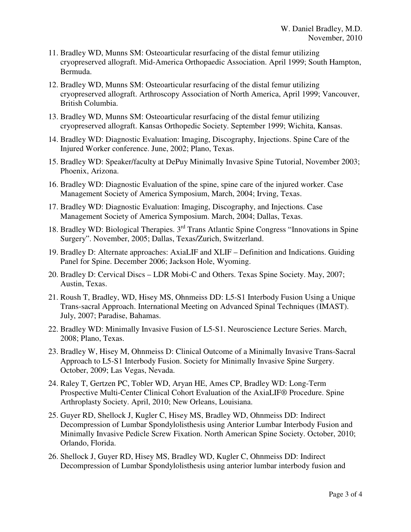- 11. Bradley WD, Munns SM: Osteoarticular resurfacing of the distal femur utilizing cryopreserved allograft. Mid-America Orthopaedic Association. April 1999; South Hampton, Bermuda.
- 12. Bradley WD, Munns SM: Osteoarticular resurfacing of the distal femur utilizing cryopreserved allograft. Arthroscopy Association of North America, April 1999; Vancouver, British Columbia.
- 13. Bradley WD, Munns SM: Osteoarticular resurfacing of the distal femur utilizing cryopreserved allograft. Kansas Orthopedic Society. September 1999; Wichita, Kansas.
- 14. Bradley WD: Diagnostic Evaluation: Imaging, Discography, Injections. Spine Care of the Injured Worker conference. June, 2002; Plano, Texas.
- 15. Bradley WD: Speaker/faculty at DePuy Minimally Invasive Spine Tutorial, November 2003; Phoenix, Arizona.
- 16. Bradley WD: Diagnostic Evaluation of the spine, spine care of the injured worker. Case Management Society of America Symposium, March, 2004; Irving, Texas.
- 17. Bradley WD: Diagnostic Evaluation: Imaging, Discography, and Injections. Case Management Society of America Symposium. March, 2004; Dallas, Texas.
- 18. Bradley WD: Biological Therapies. 3rd Trans Atlantic Spine Congress "Innovations in Spine Surgery". November, 2005; Dallas, Texas/Zurich, Switzerland.
- 19. Bradley D: Alternate approaches: AxiaLIF and XLIF Definition and Indications. Guiding Panel for Spine. December 2006; Jackson Hole, Wyoming.
- 20. Bradley D: Cervical Discs LDR Mobi-C and Others. Texas Spine Society. May, 2007; Austin, Texas.
- 21. Roush T, Bradley, WD, Hisey MS, Ohnmeiss DD: L5-S1 Interbody Fusion Using a Unique Trans-sacral Approach. International Meeting on Advanced Spinal Techniques (IMAST). July, 2007; Paradise, Bahamas.
- 22. Bradley WD: Minimally Invasive Fusion of L5-S1. Neuroscience Lecture Series. March, 2008; Plano, Texas.
- 23. Bradley W, Hisey M, Ohnmeiss D: Clinical Outcome of a Minimally Invasive Trans-Sacral Approach to L5-S1 Interbody Fusion. Society for Minimally Invasive Spine Surgery. October, 2009; Las Vegas, Nevada.
- 24. Raley T, Gertzen PC, Tobler WD, Aryan HE, Ames CP, Bradley WD: Long-Term Prospective Multi-Center Clinical Cohort Evaluation of the AxiaLIF® Procedure. Spine Arthroplasty Society. April, 2010; New Orleans, Louisiana.
- 25. Guyer RD, Shellock J, Kugler C, Hisey MS, Bradley WD, Ohnmeiss DD: Indirect Decompression of Lumbar Spondylolisthesis using Anterior Lumbar Interbody Fusion and Minimally Invasive Pedicle Screw Fixation. North American Spine Society. October, 2010; Orlando, Florida.
- 26. Shellock J, Guyer RD, Hisey MS, Bradley WD, Kugler C, Ohnmeiss DD: Indirect Decompression of Lumbar Spondylolisthesis using anterior lumbar interbody fusion and